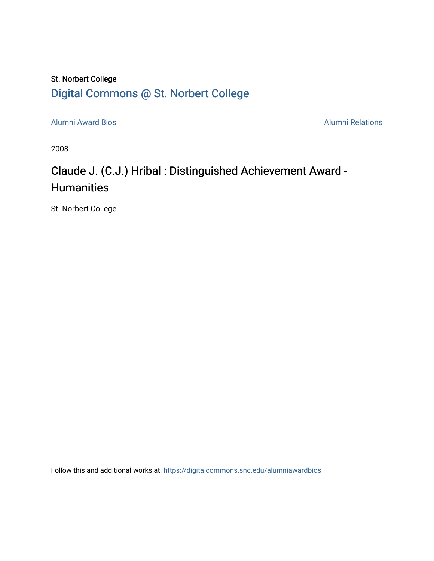## St. Norbert College [Digital Commons @ St. Norbert College](https://digitalcommons.snc.edu/)

[Alumni Award Bios](https://digitalcommons.snc.edu/alumniawardbios) **Alumni Relations** Alumni Relations

2008

## Claude J. (C.J.) Hribal : Distinguished Achievement Award - **Humanities**

St. Norbert College

Follow this and additional works at: [https://digitalcommons.snc.edu/alumniawardbios](https://digitalcommons.snc.edu/alumniawardbios?utm_source=digitalcommons.snc.edu%2Falumniawardbios%2F34&utm_medium=PDF&utm_campaign=PDFCoverPages)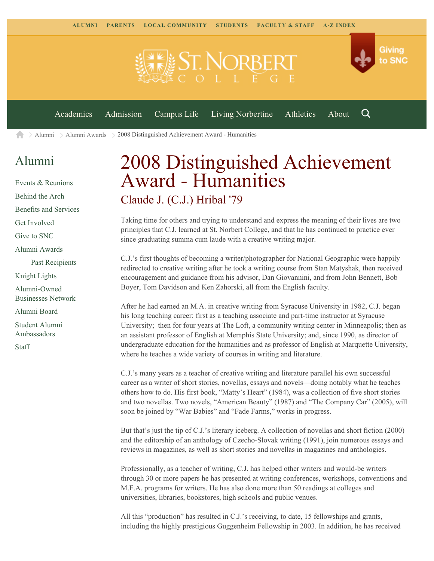

 $\geq$  [Alumni](https://www.snc.edu/alumni/)  $\geq$  [Alumni Awards](https://www.snc.edu/alumni/awards/)  $\geq$  2008 Distinguished Achievement Award - Humanities A

## [Alumni](https://www.snc.edu/alumni/index.html)

[Events & Reunions](https://www.snc.edu/alumni/event/index.html) [Behind the Arch](https://www.snc.edu/alumni/event/behindthearch/) [Benefits and Services](https://www.snc.edu/alumni/benefits.html) [Get Involved](https://www.snc.edu/alumni/getinvolved.html) [Give to SNC](http://giving.snc.edu/) [Alumni Awards](https://www.snc.edu/alumni/awards/index.html) [Past Recipients](https://www.snc.edu/alumni/awards/recipients.html) [Knight Lights](https://www.snc.edu/alumni/knightlights/index.html) [Alumni-Owned](https://www.snc.edu/alumni/directory/index.html) [Businesses Network](https://www.snc.edu/alumni/directory/index.html) [Alumni Board](https://www.snc.edu/alumni/alumniboard.html) [Student Alumni](https://www.snc.edu/alumni/saa.html) [Ambassadors](https://www.snc.edu/alumni/saa.html) [Staff](https://www.snc.edu/alumni/contactus.html)

## 2008 Distinguished Achievement Award - Humanities Claude J. (C.J.) Hribal '79

Taking time for others and trying to understand and express the meaning of their lives are two principles that C.J. learned at St. Norbert College, and that he has continued to practice ever since graduating summa cum laude with a creative writing major.

C.J.'s first thoughts of becoming a writer/photographer for National Geographic were happily redirected to creative writing after he took a writing course from Stan Matyshak, then received encouragement and guidance from his advisor, Dan Giovannini, and from John Bennett, Bob Boyer, Tom Davidson and Ken Zahorski, all from the English faculty.

After he had earned an M.A. in creative writing from Syracuse University in 1982, C.J. began his long teaching career: first as a teaching associate and part-time instructor at Syracuse University; then for four years at The Loft, a community writing center in Minneapolis; then as an assistant professor of English at Memphis State University; and, since 1990, as director of undergraduate education for the humanities and as professor of English at Marquette University, where he teaches a wide variety of courses in writing and literature.

C.J.'s many years as a teacher of creative writing and literature parallel his own successful career as a writer of short stories, novellas, essays and novels—doing notably what he teaches others how to do. His first book, "Matty's Heart" (1984), was a collection of five short stories and two novellas. Two novels, "American Beauty" (1987) and "The Company Car" (2005), will soon be joined by "War Babies" and "Fade Farms," works in progress.

But that's just the tip of C.J.'s literary iceberg. A collection of novellas and short fiction (2000) and the editorship of an anthology of Czecho-Slovak writing (1991), join numerous essays and reviews in magazines, as well as short stories and novellas in magazines and anthologies.

Professionally, as a teacher of writing, C.J. has helped other writers and would-be writers through 30 or more papers he has presented at writing conferences, workshops, conventions and M.F.A. programs for writers. He has also done more than 50 readings at colleges and universities, libraries, bookstores, high schools and public venues.

All this "production" has resulted in C.J.'s receiving, to date, 15 fellowships and grants, including the highly prestigious Guggenheim Fellowship in 2003. In addition, he has received